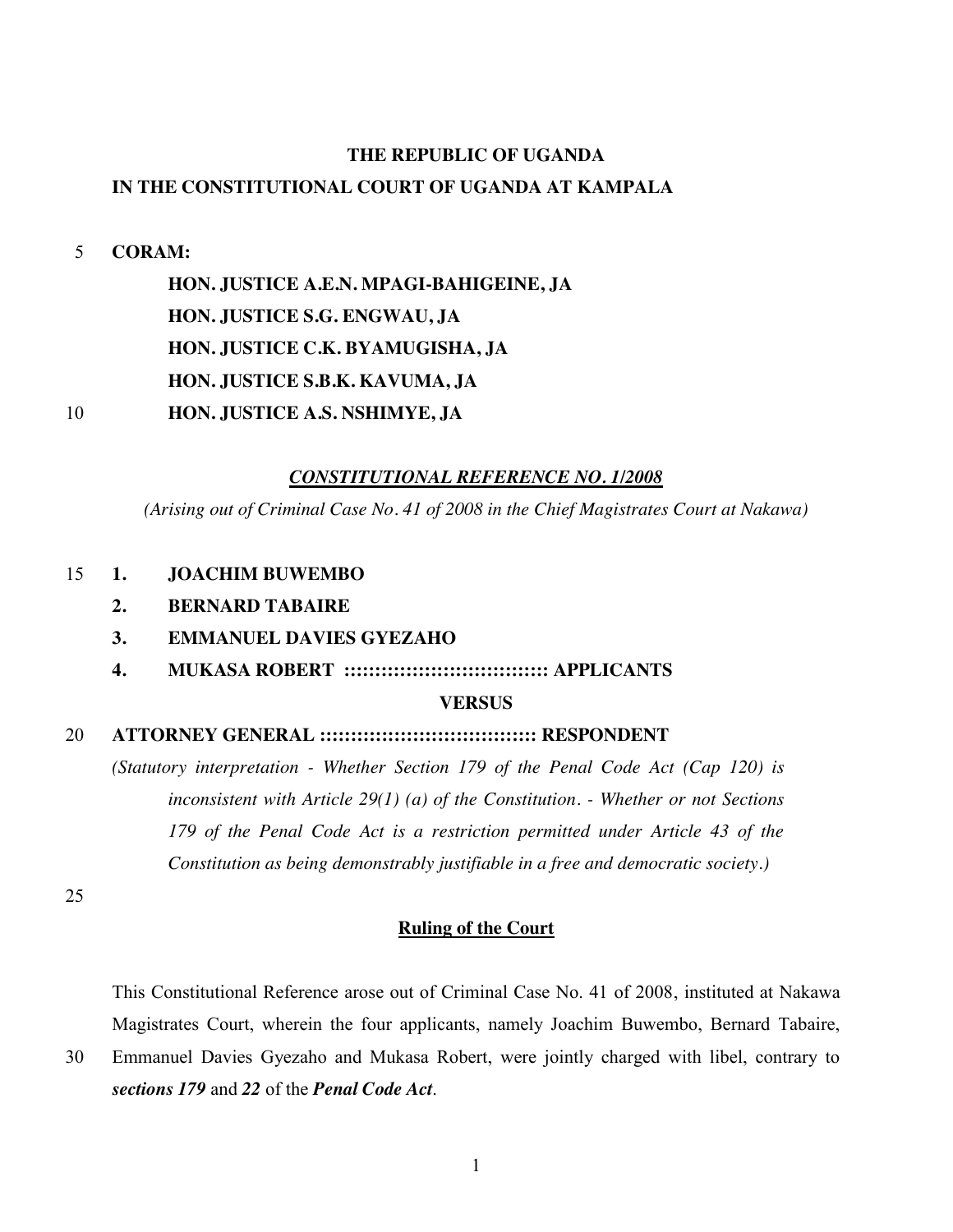#### **THE REPUBLIC OF UGANDA**

#### **IN THE CONSTITUTIONAL COURT OF UGANDA AT KAMPALA**

#### 5 **CORAM:**

**HON. JUSTICE A.E.N. MPAGI-BAHIGEINE, JA HON. JUSTICE S.G. ENGWAU, JA HON. JUSTICE C.K. BYAMUGISHA, JA HON. JUSTICE S.B.K. KAVUMA, JA** 10 **HON. JUSTICE A.S. NSHIMYE, JA**

#### *CONSTITUTIONAL REFERENCE NO. 1/2008*

*(Arising out of Criminal Case No. 41 of 2008 in the Chief Magistrates Court at Nakawa)*

#### 15 **1. JOACHIM BUWEMBO**

- **2. BERNARD TABAIRE**
- **3. EMMANUEL DAVIES GYEZAHO**
- **4. MUKASA ROBERT ::::::::::::::::::::::::::::::::: APPLICANTS**

#### **VERSUS**

#### 20 **ATTORNEY GENERAL ::::::::::::::::::::::::::::::::::: RESPONDENT**

*(Statutory interpretation - Whether Section 179 of the Penal Code Act (Cap 120) is inconsistent with Article 29(1) (a) of the Constitution. - Whether or not Sections 179 of the Penal Code Act is a restriction permitted under Article 43 of the Constitution as being demonstrably justifiable in a free and democratic society.)*

25

#### **Ruling of the Court**

This Constitutional Reference arose out of Criminal Case No. 41 of 2008, instituted at Nakawa Magistrates Court, wherein the four applicants, namely Joachim Buwembo, Bernard Tabaire,

30 Emmanuel Davies Gyezaho and Mukasa Robert, were jointly charged with libel, contrary to *sections 179* and *22* of the *Penal Code Act*.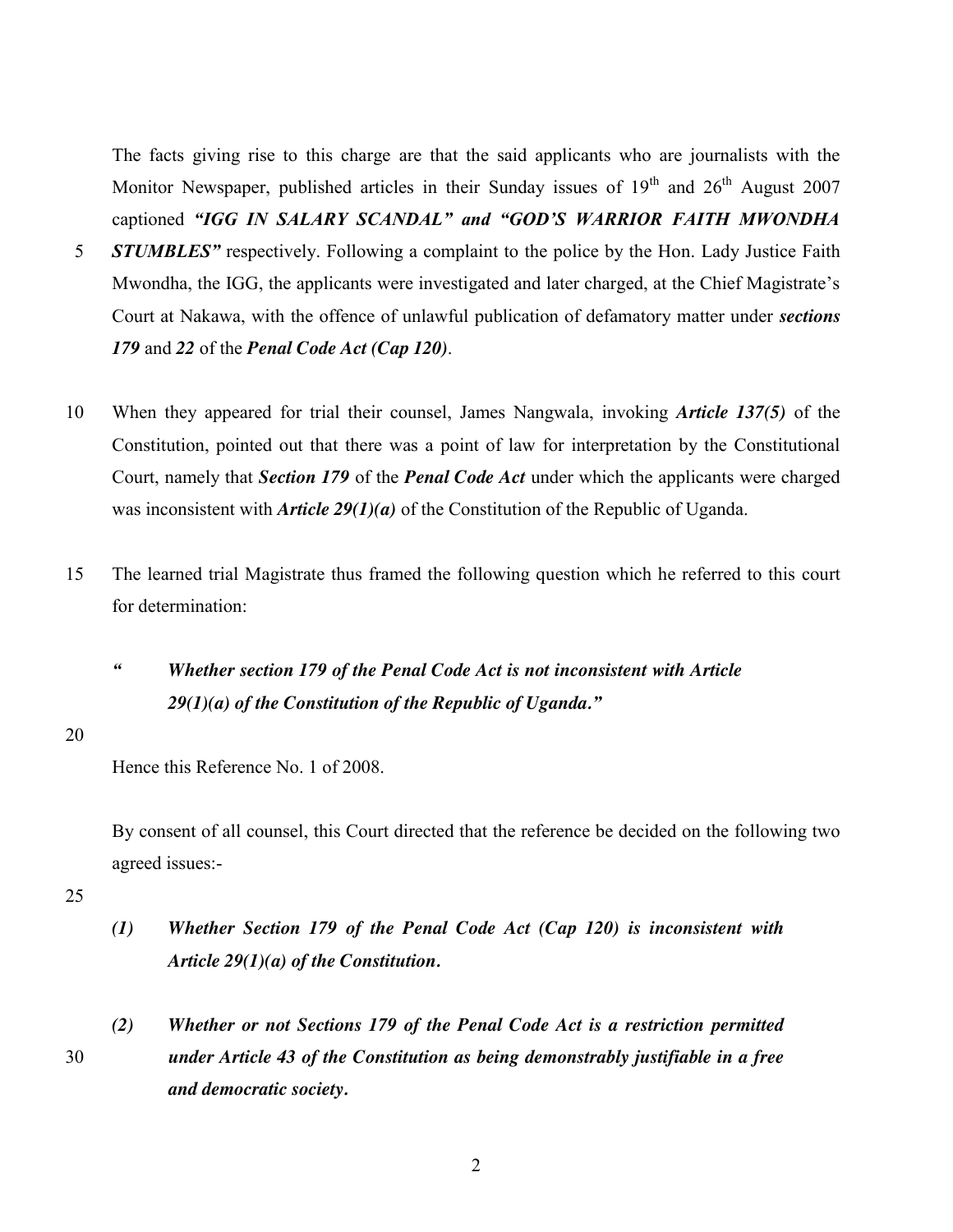The facts giving rise to this charge are that the said applicants who are journalists with the Monitor Newspaper, published articles in their Sunday issues of  $19<sup>th</sup>$  and  $26<sup>th</sup>$  August 2007 captioned *"IGG IN SALARY SCANDAL" and "GOD'S WARRIOR FAITH MWONDHA* 

- 5 *STUMBLES"* respectively. Following a complaint to the police by the Hon. Lady Justice Faith Mwondha, the IGG, the applicants were investigated and later charged, at the Chief Magistrate's Court at Nakawa, with the offence of unlawful publication of defamatory matter under *sections 179* and *22* of the *Penal Code Act (Cap 120)*.
- 10 When they appeared for trial their counsel, James Nangwala, invoking *Article 137(5)* of the Constitution, pointed out that there was a point of law for interpretation by the Constitutional Court, namely that *Section 179* of the *Penal Code Act* under which the applicants were charged was inconsistent with *Article 29(1)(a)* of the Constitution of the Republic of Uganda.
- 15 The learned trial Magistrate thus framed the following question which he referred to this court for determination:
	- *" Whether section 179 of the Penal Code Act is not inconsistent with Article 29(1)(a) of the Constitution of the Republic of Uganda."*
- 20

Hence this Reference No. 1 of 2008.

By consent of all counsel, this Court directed that the reference be decided on the following two agreed issues:-

- *(1) Whether Section 179 of the Penal Code Act (Cap 120) is inconsistent with Article 29(1)(a) of the Constitution.*
- *(2) Whether or not Sections 179 of the Penal Code Act is a restriction permitted*  30 *under Article 43 of the Constitution as being demonstrably justifiable in a free and democratic society.*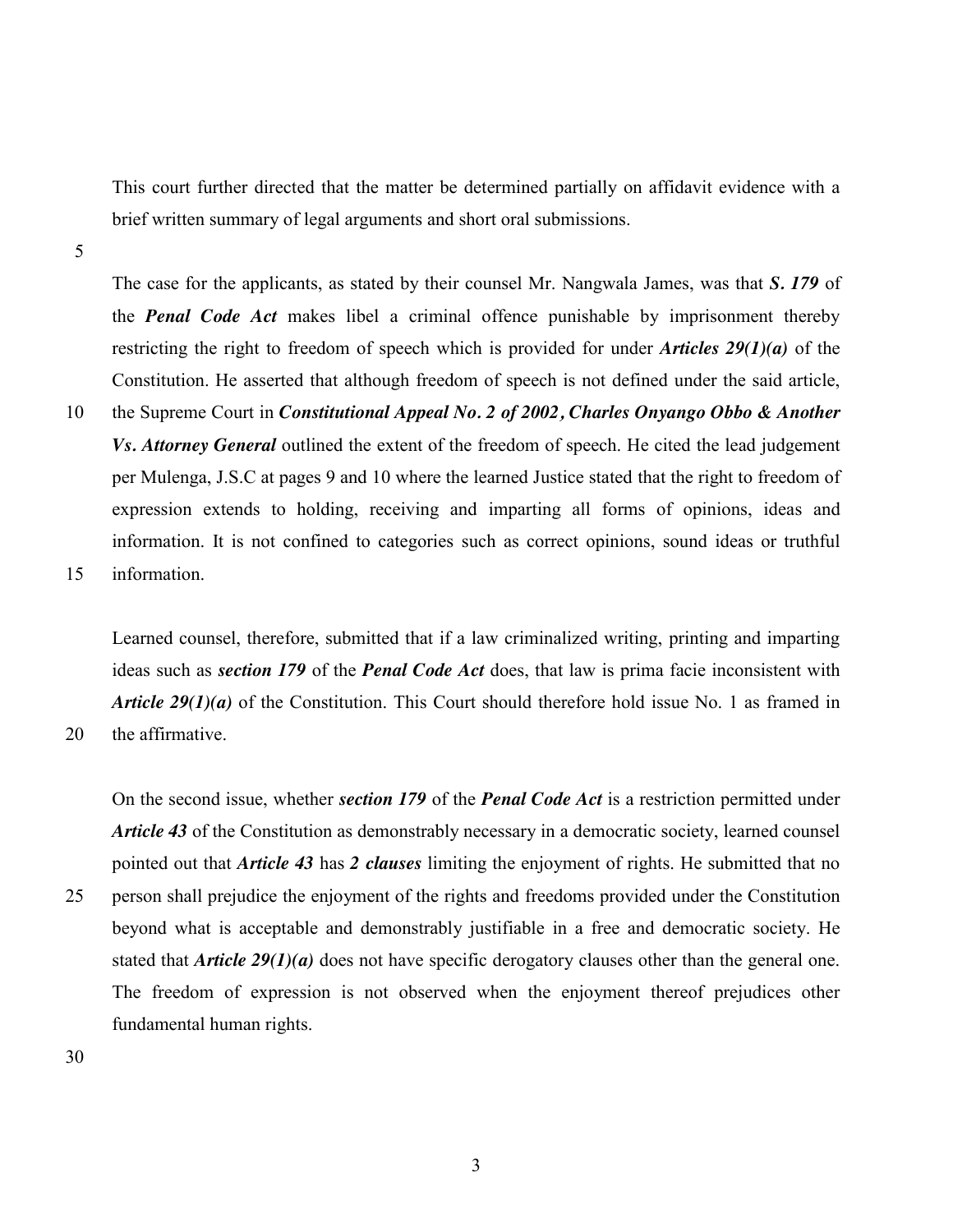This court further directed that the matter be determined partially on affidavit evidence with a brief written summary of legal arguments and short oral submissions.

5

The case for the applicants, as stated by their counsel Mr. Nangwala James, was that *S. 179* of the *Penal Code Act* makes libel a criminal offence punishable by imprisonment thereby restricting the right to freedom of speech which is provided for under *Articles 29(1)(a)* of the Constitution. He asserted that although freedom of speech is not defined under the said article,

10 the Supreme Court in *Constitutional Appeal No. 2 of 2002, Charles Onyango Obbo & Another Vs. Attorney General* outlined the extent of the freedom of speech. He cited the lead judgement per Mulenga, J.S.C at pages 9 and 10 where the learned Justice stated that the right to freedom of expression extends to holding, receiving and imparting all forms of opinions, ideas and information. It is not confined to categories such as correct opinions, sound ideas or truthful 15 information.

Learned counsel, therefore, submitted that if a law criminalized writing, printing and imparting ideas such as *section 179* of the *Penal Code Act* does, that law is prima facie inconsistent with *Article 29(1)(a)* of the Constitution. This Court should therefore hold issue No. 1 as framed in

20 the affirmative.

On the second issue, whether *section 179* of the *Penal Code Act* is a restriction permitted under *Article 43* of the Constitution as demonstrably necessary in a democratic society, learned counsel pointed out that *Article 43* has *2 clauses* limiting the enjoyment of rights. He submitted that no 25 person shall prejudice the enjoyment of the rights and freedoms provided under the Constitution beyond what is acceptable and demonstrably justifiable in a free and democratic society. He stated that *Article 29(1)(a)* does not have specific derogatory clauses other than the general one. The freedom of expression is not observed when the enjoyment thereof prejudices other fundamental human rights.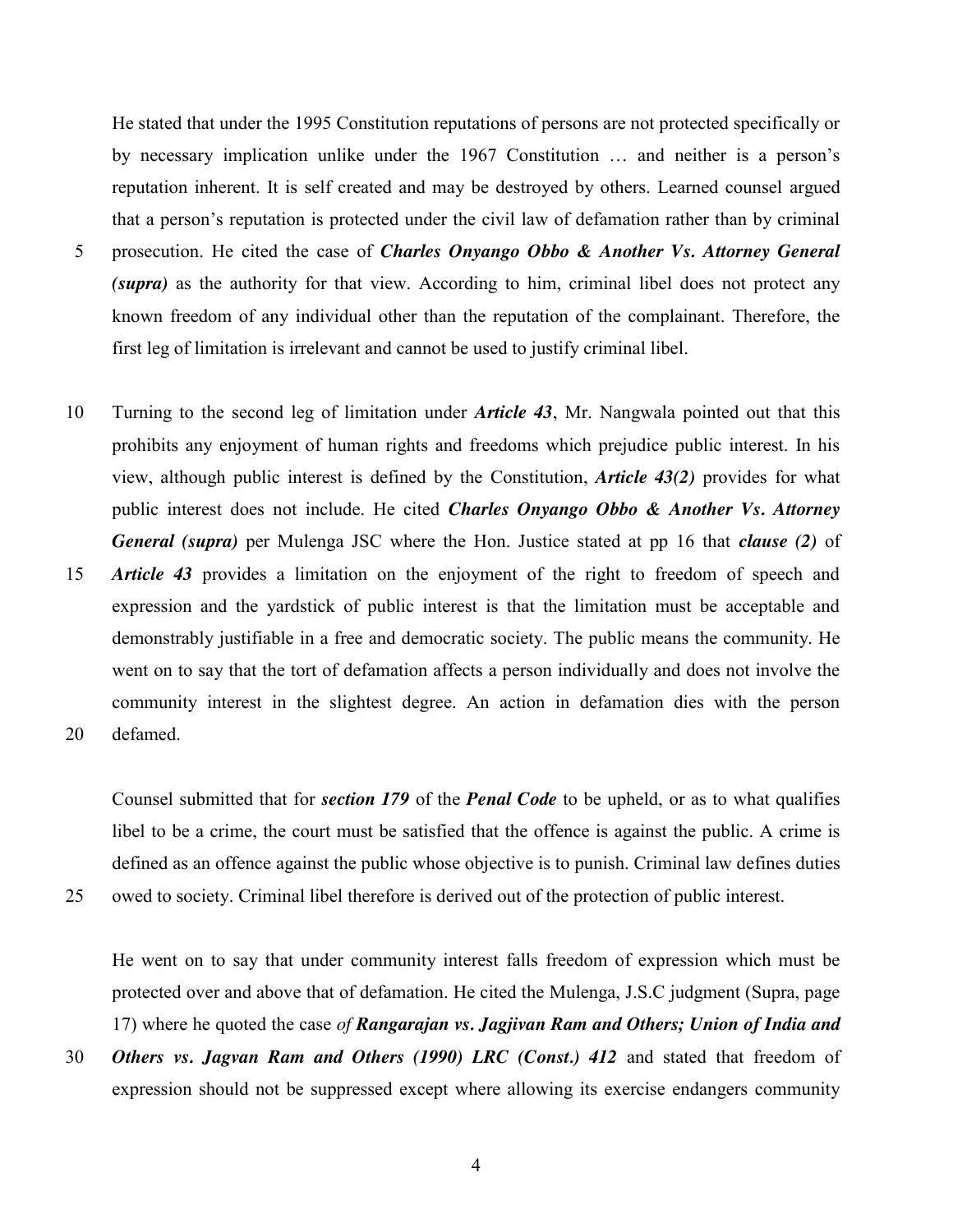He stated that under the 1995 Constitution reputations of persons are not protected specifically or by necessary implication unlike under the 1967 Constitution … and neither is a person's reputation inherent. It is self created and may be destroyed by others. Learned counsel argued that a person's reputation is protected under the civil law of defamation rather than by criminal

- 5 prosecution. He cited the case of *Charles Onyango Obbo & Another Vs. Attorney General (supra)* as the authority for that view. According to him, criminal libel does not protect any known freedom of any individual other than the reputation of the complainant. Therefore, the first leg of limitation is irrelevant and cannot be used to justify criminal libel.
- 10 Turning to the second leg of limitation under *Article 43*, Mr. Nangwala pointed out that this prohibits any enjoyment of human rights and freedoms which prejudice public interest. In his view, although public interest is defined by the Constitution, *Article 43(2)* provides for what public interest does not include. He cited *Charles Onyango Obbo & Another Vs. Attorney General (supra)* per Mulenga JSC where the Hon. Justice stated at pp 16 that *clause (2)* of
- 15 *Article 43* provides a limitation on the enjoyment of the right to freedom of speech and expression and the yardstick of public interest is that the limitation must be acceptable and demonstrably justifiable in a free and democratic society. The public means the community. He went on to say that the tort of defamation affects a person individually and does not involve the community interest in the slightest degree. An action in defamation dies with the person 20 defamed.

Counsel submitted that for *section 179* of the *Penal Code* to be upheld, or as to what qualifies libel to be a crime, the court must be satisfied that the offence is against the public. A crime is defined as an offence against the public whose objective is to punish. Criminal law defines duties

25 owed to society. Criminal libel therefore is derived out of the protection of public interest.

He went on to say that under community interest falls freedom of expression which must be protected over and above that of defamation. He cited the Mulenga, J.S.C judgment (Supra, page 17) where he quoted the case *of Rangarajan vs. Jagjivan Ram and Others; Union of India and* 

30 *Others vs. Jagvan Ram and Others (1990) LRC (Const.) 412* and stated that freedom of expression should not be suppressed except where allowing its exercise endangers community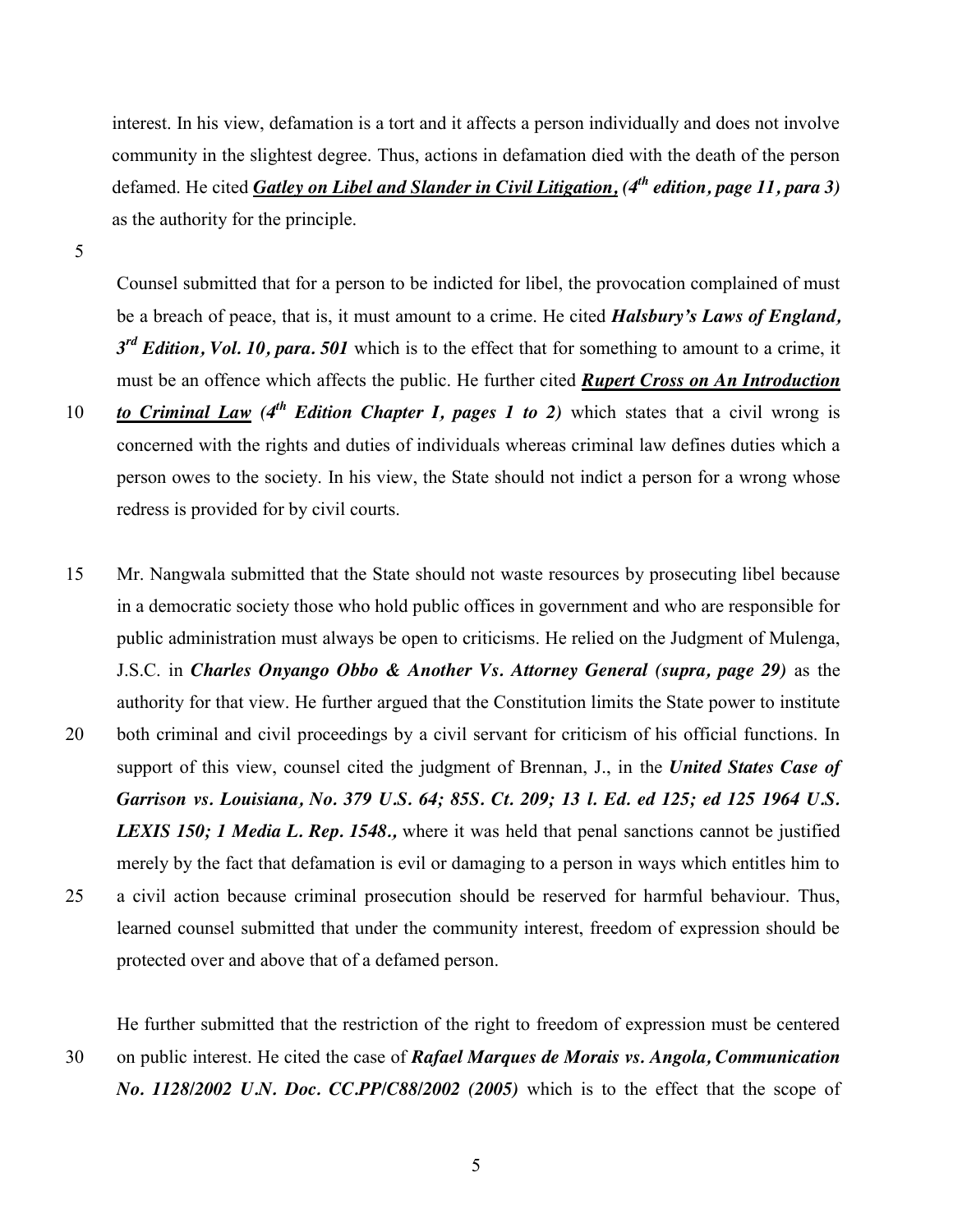interest. In his view, defamation is a tort and it affects a person individually and does not involve community in the slightest degree. Thus, actions in defamation died with the death of the person defamed. He cited *Gatley on Libel and Slander in Civil Litigation, (4th edition, page 11, para 3)* as the authority for the principle.

5

Counsel submitted that for a person to be indicted for libel, the provocation complained of must be a breach of peace, that is, it must amount to a crime. He cited *Halsbury's Laws of England, 3rd Edition, Vol. 10, para. 501* which is to the effect that for something to amount to a crime, it must be an offence which affects the public. He further cited *Rupert Cross on An Introduction* 

- 10 **to Criminal Law**  $(4^{th}$  **Edition Chapter I, pages 1 to 2)** which states that a civil wrong is concerned with the rights and duties of individuals whereas criminal law defines duties which a person owes to the society. In his view, the State should not indict a person for a wrong whose redress is provided for by civil courts.
- 15 Mr. Nangwala submitted that the State should not waste resources by prosecuting libel because in a democratic society those who hold public offices in government and who are responsible for public administration must always be open to criticisms. He relied on the Judgment of Mulenga, J.S.C. in *Charles Onyango Obbo & Another Vs. Attorney General (supra, page 29)* as the authority for that view. He further argued that the Constitution limits the State power to institute 20 both criminal and civil proceedings by a civil servant for criticism of his official functions. In support of this view, counsel cited the judgment of Brennan, J., in the *United States Case of Garrison vs. Louisiana, No. 379 U.S. 64; 85S. Ct. 209; 13 l. Ed. ed 125; ed 125 1964 U.S. LEXIS 150; 1 Media L. Rep. 1548.,* where it was held that penal sanctions cannot be justified merely by the fact that defamation is evil or damaging to a person in ways which entitles him to 25 a civil action because criminal prosecution should be reserved for harmful behaviour. Thus, learned counsel submitted that under the community interest, freedom of expression should be protected over and above that of a defamed person.

He further submitted that the restriction of the right to freedom of expression must be centered 30 on public interest. He cited the case of *Rafael Marques de Morais vs. Angola, Communication No. 1128/2002 U.N. Doc. CC.PP/C88/2002 (2005)* which is to the effect that the scope of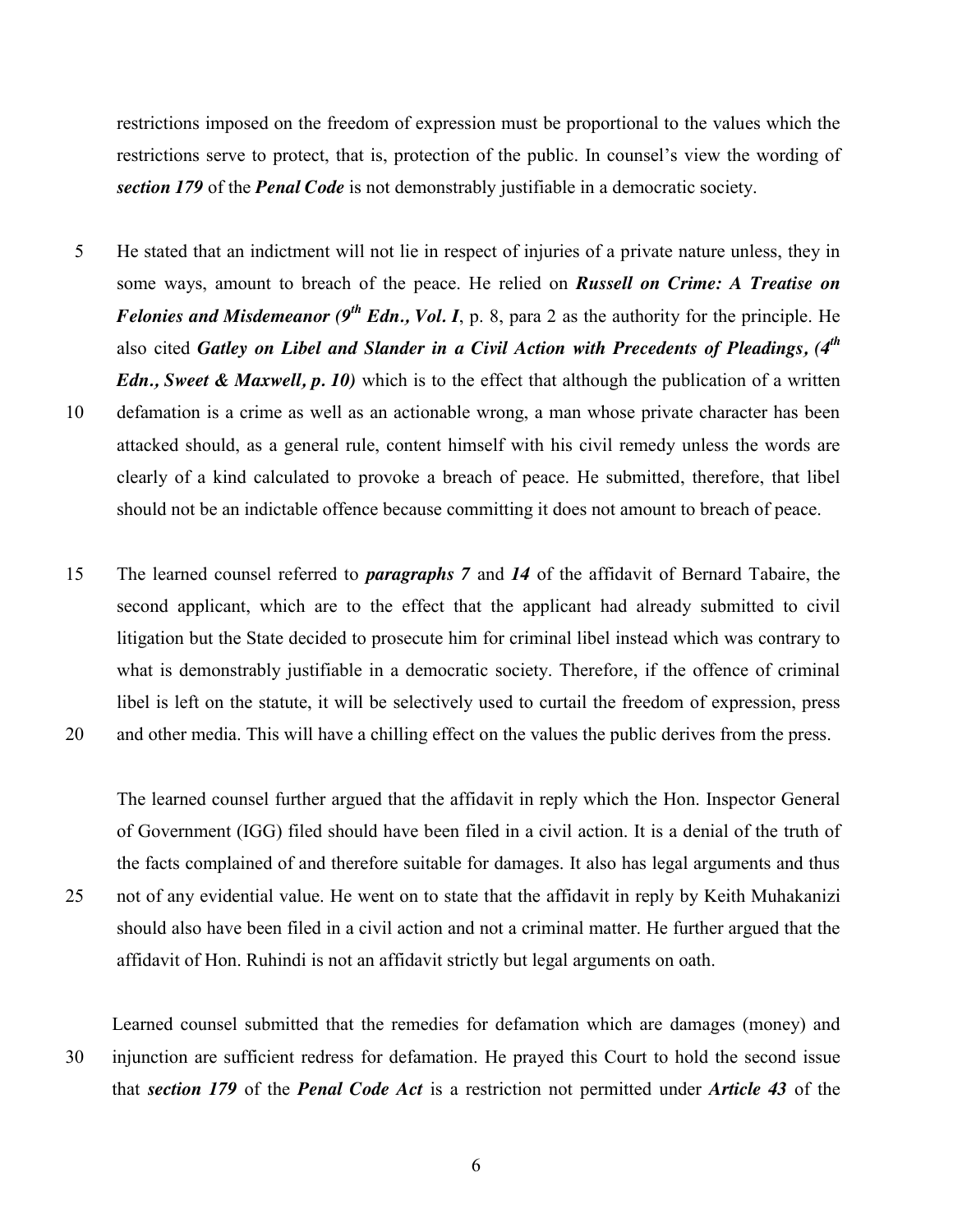restrictions imposed on the freedom of expression must be proportional to the values which the restrictions serve to protect, that is, protection of the public. In counsel's view the wording of *section 179* of the *Penal Code* is not demonstrably justifiable in a democratic society.

5 He stated that an indictment will not lie in respect of injuries of a private nature unless, they in some ways, amount to breach of the peace. He relied on *Russell on Crime: A Treatise on Felonies and Misdemeanor* (9<sup>th</sup> *Edn., Vol. I*, p. 8, para 2 as the authority for the principle. He also cited *Gatley on Libel and Slander in a Civil Action with Precedents of Pleadings, (4th Edn., Sweet & Maxwell, p. 10)* which is to the effect that although the publication of a written 10 defamation is a crime as well as an actionable wrong, a man whose private character has been attacked should, as a general rule, content himself with his civil remedy unless the words are clearly of a kind calculated to provoke a breach of peace. He submitted, therefore, that libel should not be an indictable offence because committing it does not amount to breach of peace.

15 The learned counsel referred to *paragraphs 7* and *14* of the affidavit of Bernard Tabaire, the second applicant, which are to the effect that the applicant had already submitted to civil litigation but the State decided to prosecute him for criminal libel instead which was contrary to what is demonstrably justifiable in a democratic society. Therefore, if the offence of criminal libel is left on the statute, it will be selectively used to curtail the freedom of expression, press 20 and other media. This will have a chilling effect on the values the public derives from the press.

The learned counsel further argued that the affidavit in reply which the Hon. Inspector General of Government (IGG) filed should have been filed in a civil action. It is a denial of the truth of the facts complained of and therefore suitable for damages. It also has legal arguments and thus 25 not of any evidential value. He went on to state that the affidavit in reply by Keith Muhakanizi should also have been filed in a civil action and not a criminal matter. He further argued that the affidavit of Hon. Ruhindi is not an affidavit strictly but legal arguments on oath.

Learned counsel submitted that the remedies for defamation which are damages (money) and 30 injunction are sufficient redress for defamation. He prayed this Court to hold the second issue that *section 179* of the *Penal Code Act* is a restriction not permitted under *Article 43* of the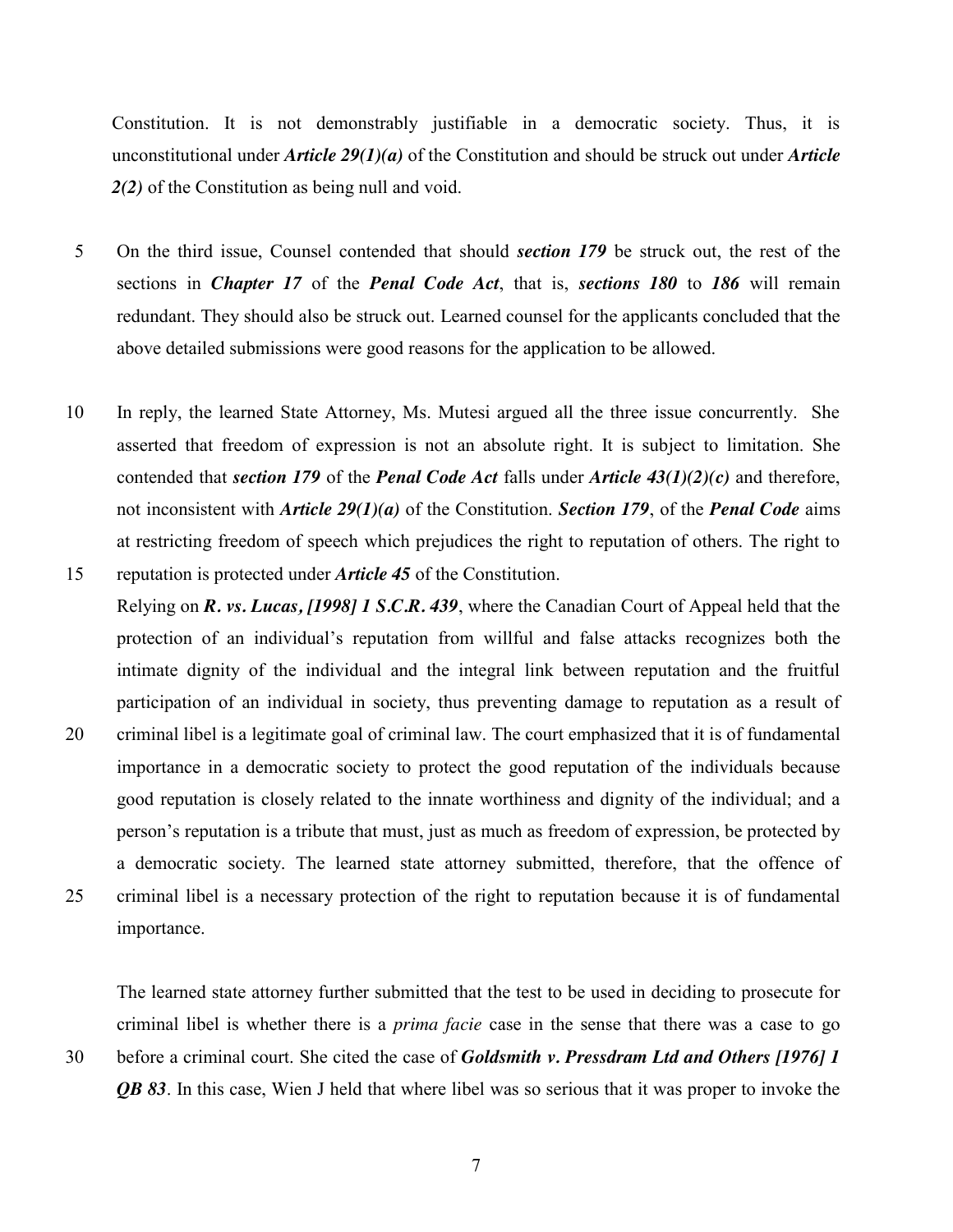Constitution. It is not demonstrably justifiable in a democratic society. Thus, it is unconstitutional under *Article 29(1)(a)* of the Constitution and should be struck out under *Article 2(2)* of the Constitution as being null and void.

- 5 On the third issue, Counsel contended that should *section 179* be struck out, the rest of the sections in *Chapter 17* of the *Penal Code Act*, that is, *sections 180* to *186* will remain redundant. They should also be struck out. Learned counsel for the applicants concluded that the above detailed submissions were good reasons for the application to be allowed.
- 10 In reply, the learned State Attorney, Ms. Mutesi argued all the three issue concurrently. She asserted that freedom of expression is not an absolute right. It is subject to limitation. She contended that *section 179* of the *Penal Code Act* falls under *Article 43(1)(2)(c)* and therefore, not inconsistent with *Article 29(1)(a)* of the Constitution. *Section 179*, of the *Penal Code* aims at restricting freedom of speech which prejudices the right to reputation of others. The right to 15 reputation is protected under *Article 45* of the Constitution.
- Relying on *R. vs. Lucas, [1998] 1 S.C.R. 439*, where the Canadian Court of Appeal held that the protection of an individual's reputation from willful and false attacks recognizes both the intimate dignity of the individual and the integral link between reputation and the fruitful participation of an individual in society, thus preventing damage to reputation as a result of 20 criminal libel is a legitimate goal of criminal law. The court emphasized that it is of fundamental importance in a democratic society to protect the good reputation of the individuals because good reputation is closely related to the innate worthiness and dignity of the individual; and a person's reputation is a tribute that must, just as much as freedom of expression, be protected by a democratic society. The learned state attorney submitted, therefore, that the offence of 25 criminal libel is a necessary protection of the right to reputation because it is of fundamental importance.

The learned state attorney further submitted that the test to be used in deciding to prosecute for criminal libel is whether there is a *prima facie* case in the sense that there was a case to go 30 before a criminal court. She cited the case of *Goldsmith v. Pressdram Ltd and Others [1976] 1 QB 83*. In this case, Wien J held that where libel was so serious that it was proper to invoke the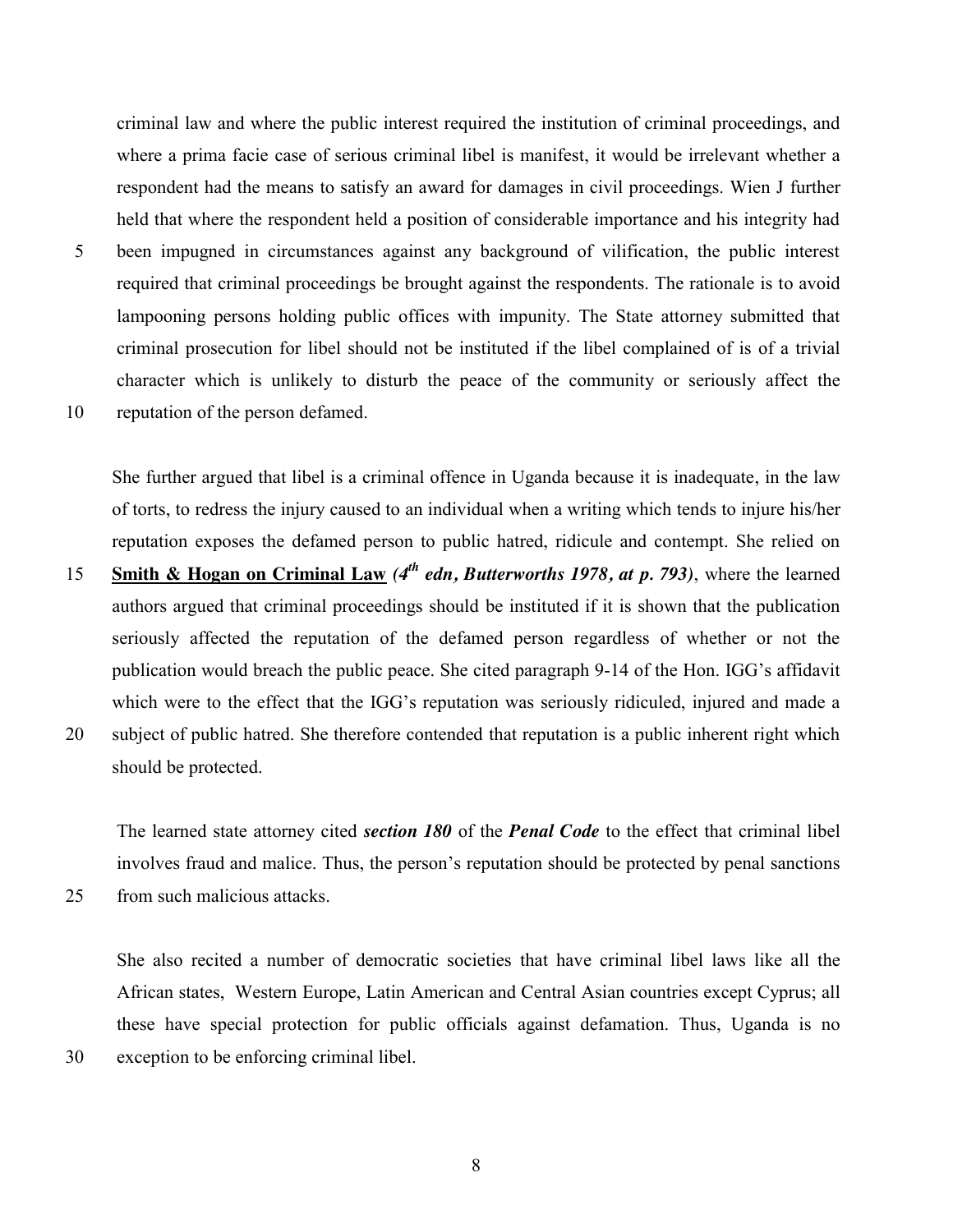criminal law and where the public interest required the institution of criminal proceedings, and where a prima facie case of serious criminal libel is manifest, it would be irrelevant whether a respondent had the means to satisfy an award for damages in civil proceedings. Wien J further held that where the respondent held a position of considerable importance and his integrity had

- 5 been impugned in circumstances against any background of vilification, the public interest required that criminal proceedings be brought against the respondents. The rationale is to avoid lampooning persons holding public offices with impunity. The State attorney submitted that criminal prosecution for libel should not be instituted if the libel complained of is of a trivial character which is unlikely to disturb the peace of the community or seriously affect the
- 10 reputation of the person defamed.

She further argued that libel is a criminal offence in Uganda because it is inadequate, in the law of torts, to redress the injury caused to an individual when a writing which tends to injure his/her reputation exposes the defamed person to public hatred, ridicule and contempt. She relied on

- **Smith & Hogan on Criminal Law**  $(4^{th}$  *edn, Butterworths 1978, at p. 793)*, where the learned authors argued that criminal proceedings should be instituted if it is shown that the publication seriously affected the reputation of the defamed person regardless of whether or not the publication would breach the public peace. She cited paragraph 9-14 of the Hon. IGG's affidavit which were to the effect that the IGG's reputation was seriously ridiculed, injured and made a 20 subject of public hatred. She therefore contended that reputation is a public inherent right which
- should be protected.

The learned state attorney cited *section 180* of the *Penal Code* to the effect that criminal libel involves fraud and malice. Thus, the person's reputation should be protected by penal sanctions 25 from such malicious attacks.

She also recited a number of democratic societies that have criminal libel laws like all the African states, Western Europe, Latin American and Central Asian countries except Cyprus; all these have special protection for public officials against defamation. Thus, Uganda is no 30 exception to be enforcing criminal libel.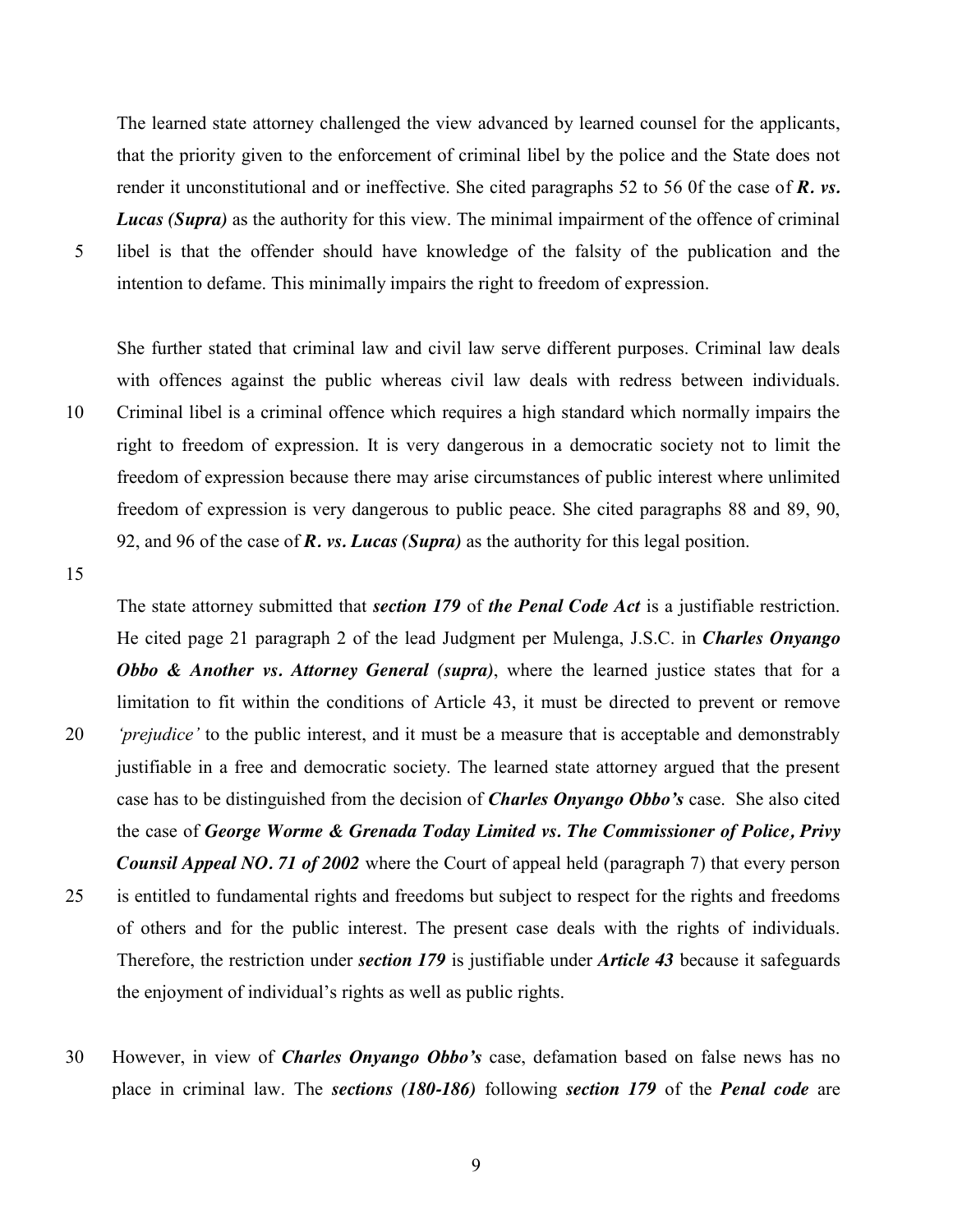The learned state attorney challenged the view advanced by learned counsel for the applicants, that the priority given to the enforcement of criminal libel by the police and the State does not render it unconstitutional and or ineffective. She cited paragraphs 52 to 56 0f the case of *R. vs. Lucas (Supra)* as the authority for this view. The minimal impairment of the offence of criminal 5 libel is that the offender should have knowledge of the falsity of the publication and the intention to defame. This minimally impairs the right to freedom of expression.

She further stated that criminal law and civil law serve different purposes. Criminal law deals with offences against the public whereas civil law deals with redress between individuals. 10 Criminal libel is a criminal offence which requires a high standard which normally impairs the right to freedom of expression. It is very dangerous in a democratic society not to limit the freedom of expression because there may arise circumstances of public interest where unlimited freedom of expression is very dangerous to public peace. She cited paragraphs 88 and 89, 90, 92, and 96 of the case of *R. vs. Lucas (Supra)* as the authority for this legal position.

15

The state attorney submitted that *section 179* of *the Penal Code Act* is a justifiable restriction. He cited page 21 paragraph 2 of the lead Judgment per Mulenga, J.S.C. in *Charles Onyango Obbo & Another vs. Attorney General (supra)*, where the learned justice states that for a limitation to fit within the conditions of Article 43, it must be directed to prevent or remove 20 *'prejudice'* to the public interest, and it must be a measure that is acceptable and demonstrably justifiable in a free and democratic society. The learned state attorney argued that the present case has to be distinguished from the decision of *Charles Onyango Obbo's* case. She also cited the case of *George Worme & Grenada Today Limited vs. The Commissioner of Police, Privy Counsil Appeal NO. 71 of 2002* where the Court of appeal held (paragraph 7) that every person 25 is entitled to fundamental rights and freedoms but subject to respect for the rights and freedoms of others and for the public interest. The present case deals with the rights of individuals. Therefore, the restriction under *section 179* is justifiable under *Article 43* because it safeguards the enjoyment of individual's rights as well as public rights.

30 However, in view of *Charles Onyango Obbo's* case, defamation based on false news has no place in criminal law. The *sections (180-186)* following *section 179* of the *Penal code* are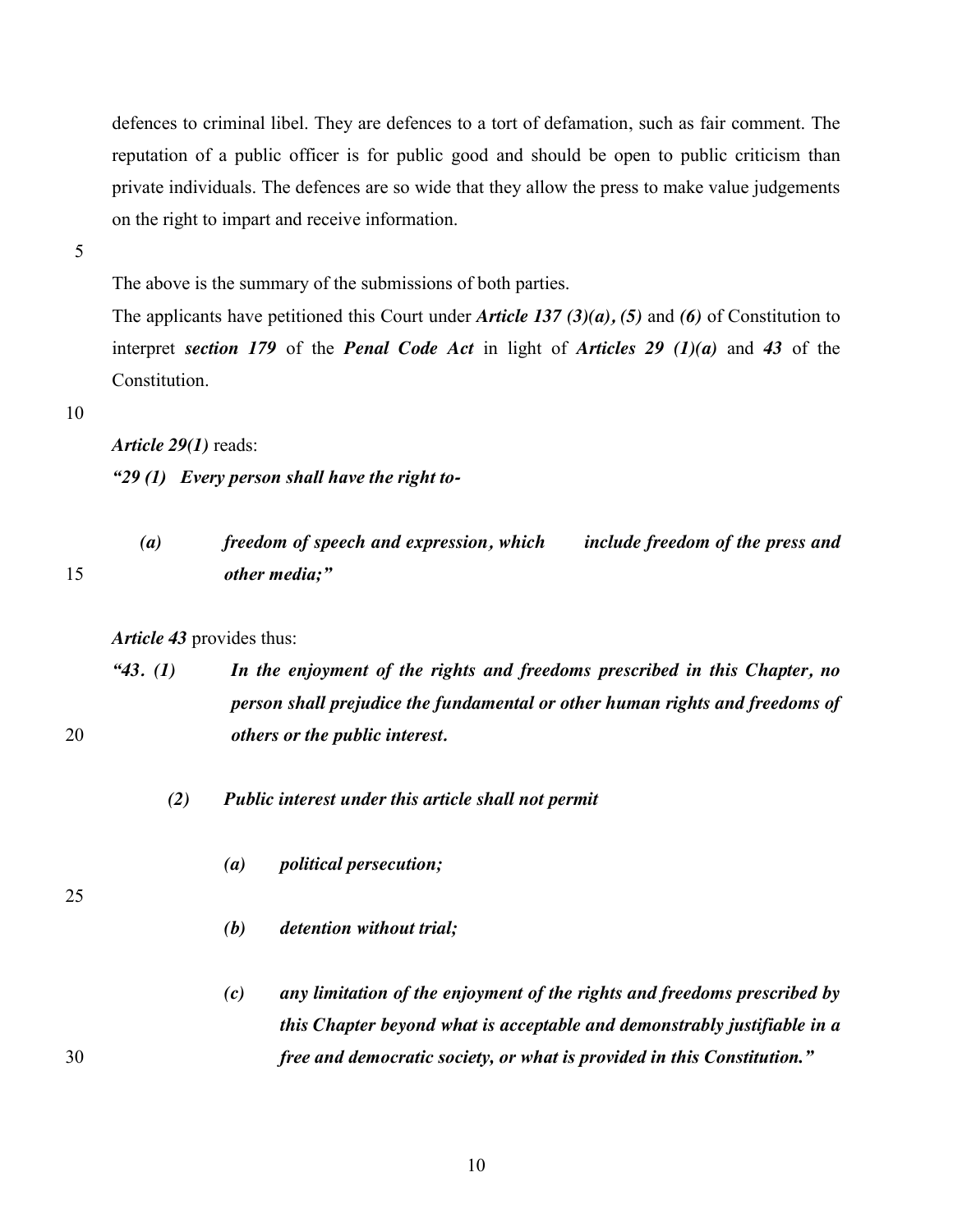defences to criminal libel. They are defences to a tort of defamation, such as fair comment. The reputation of a public officer is for public good and should be open to public criticism than private individuals. The defences are so wide that they allow the press to make value judgements on the right to impart and receive information.

5

The above is the summary of the submissions of both parties.

The applicants have petitioned this Court under *Article 137 (3)(a), (5)* and *(6)* of Constitution to interpret *section 179* of the *Penal Code Act* in light of *Articles 29 (1)(a)* and *43* of the Constitution.

#### 10

*Article 29(1)* reads:

*"29 (1) Every person shall have the right to-*

|  | freedom of speech and expression, which | include freedom of the press and |
|--|-----------------------------------------|----------------------------------|
|  | other media;"                           |                                  |

*Article 43* provides thus:

*"43. (1) In the enjoyment of the rights and freedoms prescribed in this Chapter, no person shall prejudice the fundamental or other human rights and freedoms of*  20 *others or the public interest.*

- *(2) Public interest under this article shall not permit*
	- *(a) political persecution;*

- *(b) detention without trial;*
- *(c) any limitation of the enjoyment of the rights and freedoms prescribed by this Chapter beyond what is acceptable and demonstrably justifiable in a*  30 *free and democratic society, or what is provided in this Constitution."*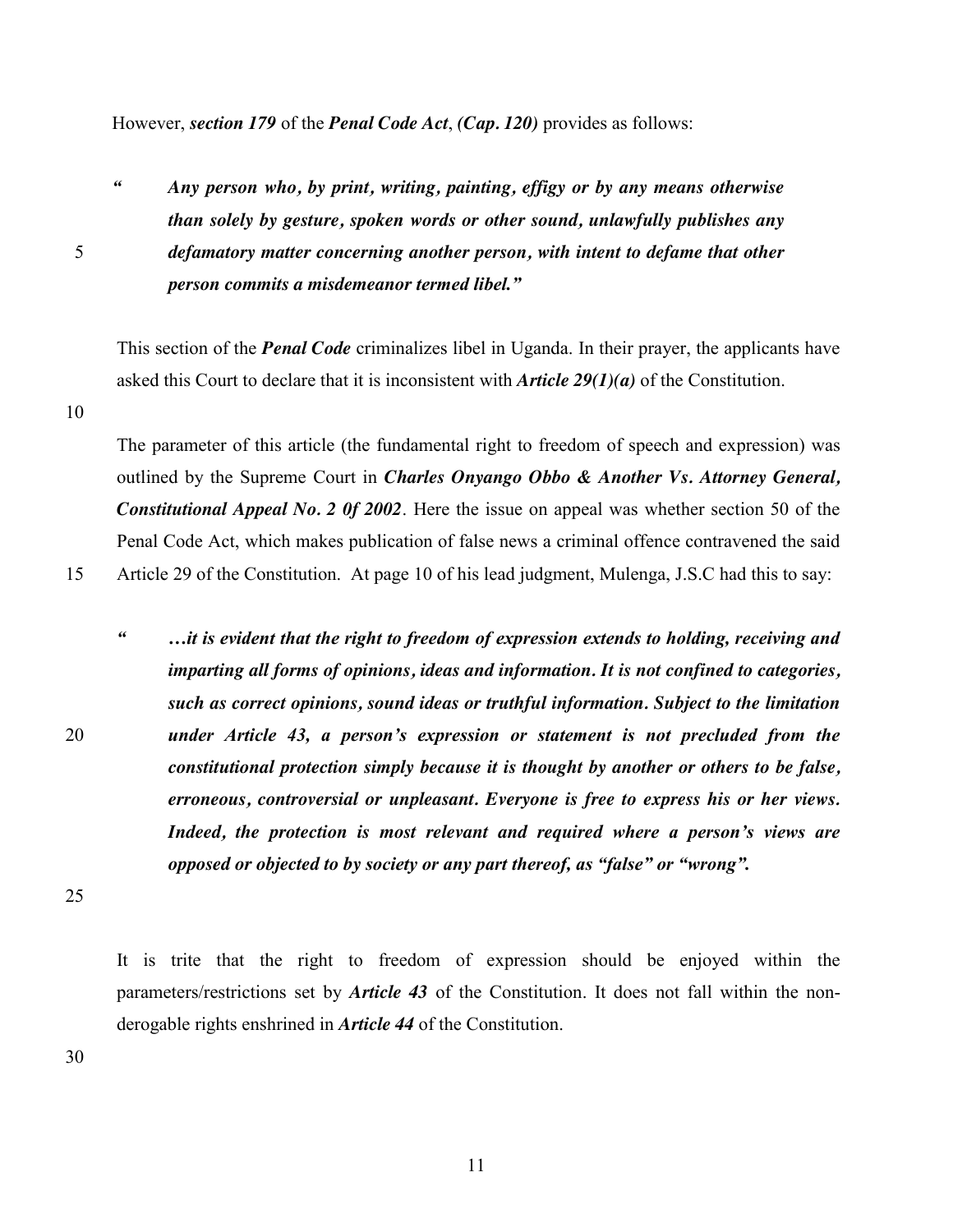However, *section 179* of the *Penal Code Act*, *(Cap. 120)* provides as follows:

*" Any person who, by print, writing, painting, effigy or by any means otherwise than solely by gesture, spoken words or other sound, unlawfully publishes any*  5 *defamatory matter concerning another person, with intent to defame that other person commits a misdemeanor termed libel."*

This section of the *Penal Code* criminalizes libel in Uganda. In their prayer, the applicants have asked this Court to declare that it is inconsistent with *Article 29(1)(a)* of the Constitution.

10

The parameter of this article (the fundamental right to freedom of speech and expression) was outlined by the Supreme Court in *Charles Onyango Obbo & Another Vs. Attorney General, Constitutional Appeal No. 2 0f 2002*. Here the issue on appeal was whether section 50 of the Penal Code Act, which makes publication of false news a criminal offence contravened the said 15 Article 29 of the Constitution.At page 10 of his lead judgment, Mulenga, J.S.C had this to say:

*" …it is evident that the right to freedom of expression extends to holding, receiving and imparting all forms of opinions, ideas and information. It is not confined to categories, such as correct opinions, sound ideas or truthful information. Subject to the limitation*  20 *under Article 43, a person's expression or statement is not precluded from the constitutional protection simply because it is thought by another or others to be false, erroneous, controversial or unpleasant. Everyone is free to express his or her views. Indeed, the protection is most relevant and required where a person's views are opposed or objected to by society or any part thereof, as "false" or "wrong".*

25

It is trite that the right to freedom of expression should be enjoyed within the parameters/restrictions set by *Article 43* of the Constitution. It does not fall within the nonderogable rights enshrined in *Article 44* of the Constitution.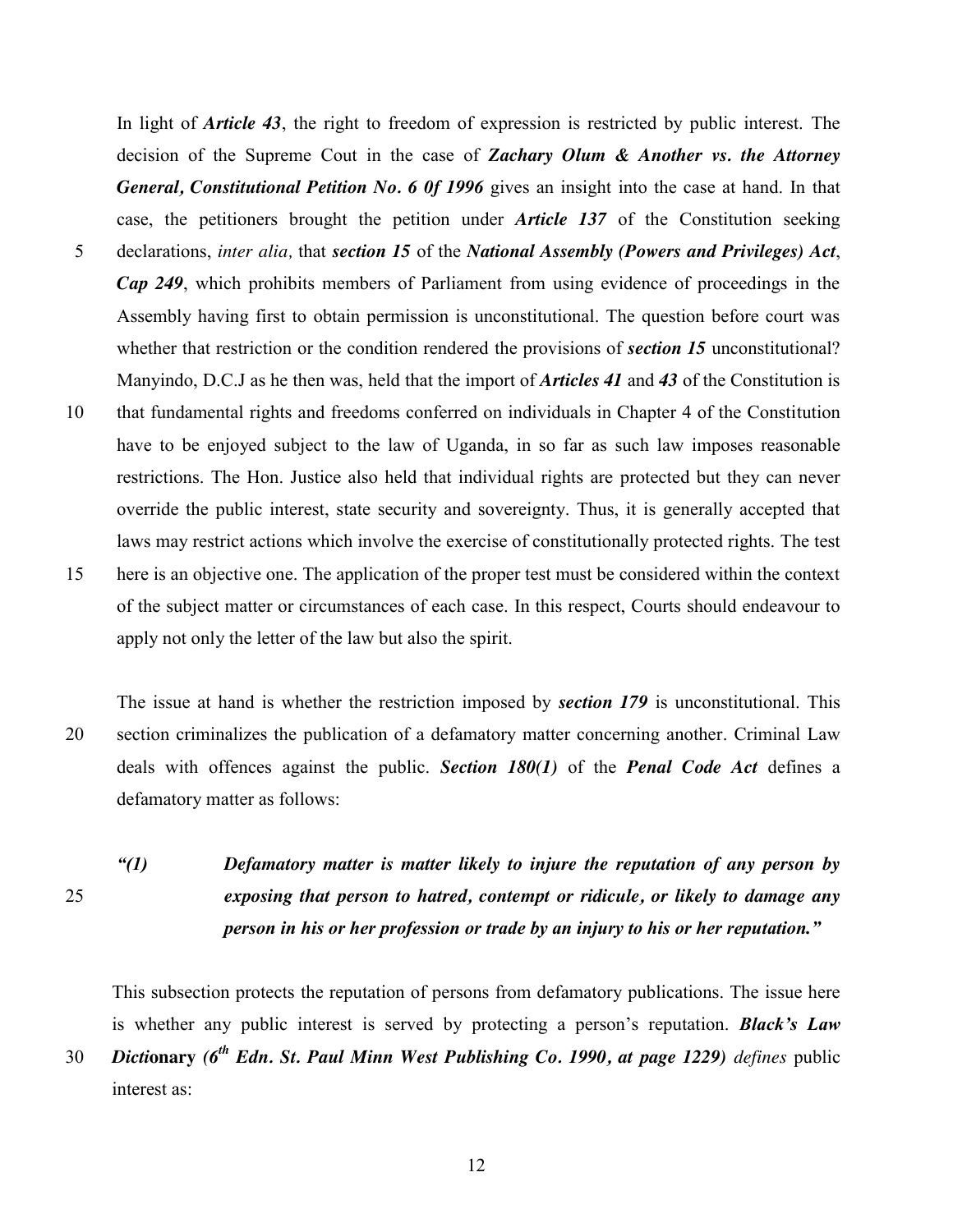In light of *Article 43*, the right to freedom of expression is restricted by public interest. The decision of the Supreme Cout in the case of *Zachary Olum & Another vs. the Attorney General, Constitutional Petition No. 6 0f 1996* gives an insight into the case at hand. In that case, the petitioners brought the petition under *Article 137* of the Constitution seeking 5 declarations, *inter alia,* that *section 15* of the *National Assembly (Powers and Privileges) Act*, *Cap 249*, which prohibits members of Parliament from using evidence of proceedings in the Assembly having first to obtain permission is unconstitutional. The question before court was whether that restriction or the condition rendered the provisions of *section 15* unconstitutional? Manyindo, D.C.J as he then was, held that the import of *Articles 41* and *43* of the Constitution is 10 that fundamental rights and freedoms conferred on individuals in Chapter 4 of the Constitution have to be enjoyed subject to the law of Uganda, in so far as such law imposes reasonable restrictions. The Hon. Justice also held that individual rights are protected but they can never override the public interest, state security and sovereignty. Thus, it is generally accepted that laws may restrict actions which involve the exercise of constitutionally protected rights. The test 15 here is an objective one. The application of the proper test must be considered within the context of the subject matter or circumstances of each case. In this respect, Courts should endeavour to

The issue at hand is whether the restriction imposed by *section 179* is unconstitutional. This 20 section criminalizes the publication of a defamatory matter concerning another. Criminal Law deals with offences against the public. *Section 180(1)* of the *Penal Code Act* defines a defamatory matter as follows:

apply not only the letter of the law but also the spirit.

*"(1) Defamatory matter is matter likely to injure the reputation of any person by*  25 *exposing that person to hatred, contempt or ridicule, or likely to damage any person in his or her profession or trade by an injury to his or her reputation."*

This subsection protects the reputation of persons from defamatory publications. The issue here is whether any public interest is served by protecting a person's reputation. *Black's Law Dicti***onary** *(6th* 30 *Edn. St. Paul Minn West Publishing Co. 1990, at page 1229) defines* public

interest as: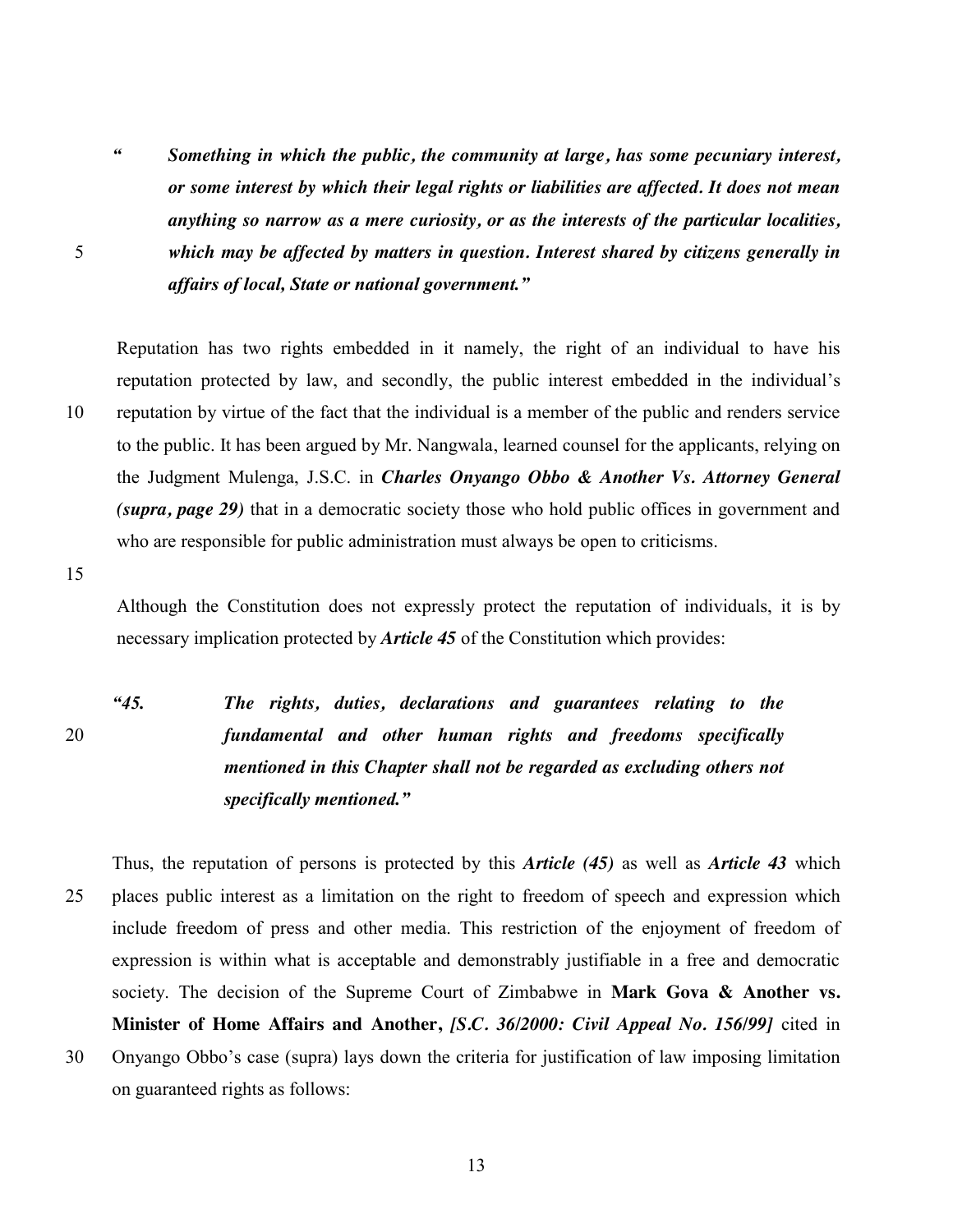*" Something in which the public, the community at large, has some pecuniary interest, or some interest by which their legal rights or liabilities are affected. It does not mean anything so narrow as a mere curiosity, or as the interests of the particular localities,*  5 *which may be affected by matters in question. Interest shared by citizens generally in affairs of local, State or national government."*

Reputation has two rights embedded in it namely, the right of an individual to have his reputation protected by law, and secondly, the public interest embedded in the individual's 10 reputation by virtue of the fact that the individual is a member of the public and renders service to the public. It has been argued by Mr. Nangwala, learned counsel for the applicants, relying on the Judgment Mulenga, J.S.C. in *Charles Onyango Obbo & Another Vs. Attorney General (supra, page 29)* that in a democratic society those who hold public offices in government and who are responsible for public administration must always be open to criticisms.

15

Although the Constitution does not expressly protect the reputation of individuals, it is by necessary implication protected by *Article 45* of the Constitution which provides:

*"45. The rights, duties, declarations and guarantees relating to the*  20 *fundamental and other human rights and freedoms specifically mentioned in this Chapter shall not be regarded as excluding others not specifically mentioned."* 

Thus, the reputation of persons is protected by this *Article (45)* as well as *Article 43* which 25 places public interest as a limitation on the right to freedom of speech and expression which include freedom of press and other media. This restriction of the enjoyment of freedom of expression is within what is acceptable and demonstrably justifiable in a free and democratic society. The decision of the Supreme Court of Zimbabwe in **Mark Gova & Another vs. Minister of Home Affairs and Another,** *[S.C. 36/2000: Civil Appeal No. 156/99]* cited in 30 Onyango Obbo's case (supra) lays down the criteria for justification of law imposing limitation on guaranteed rights as follows: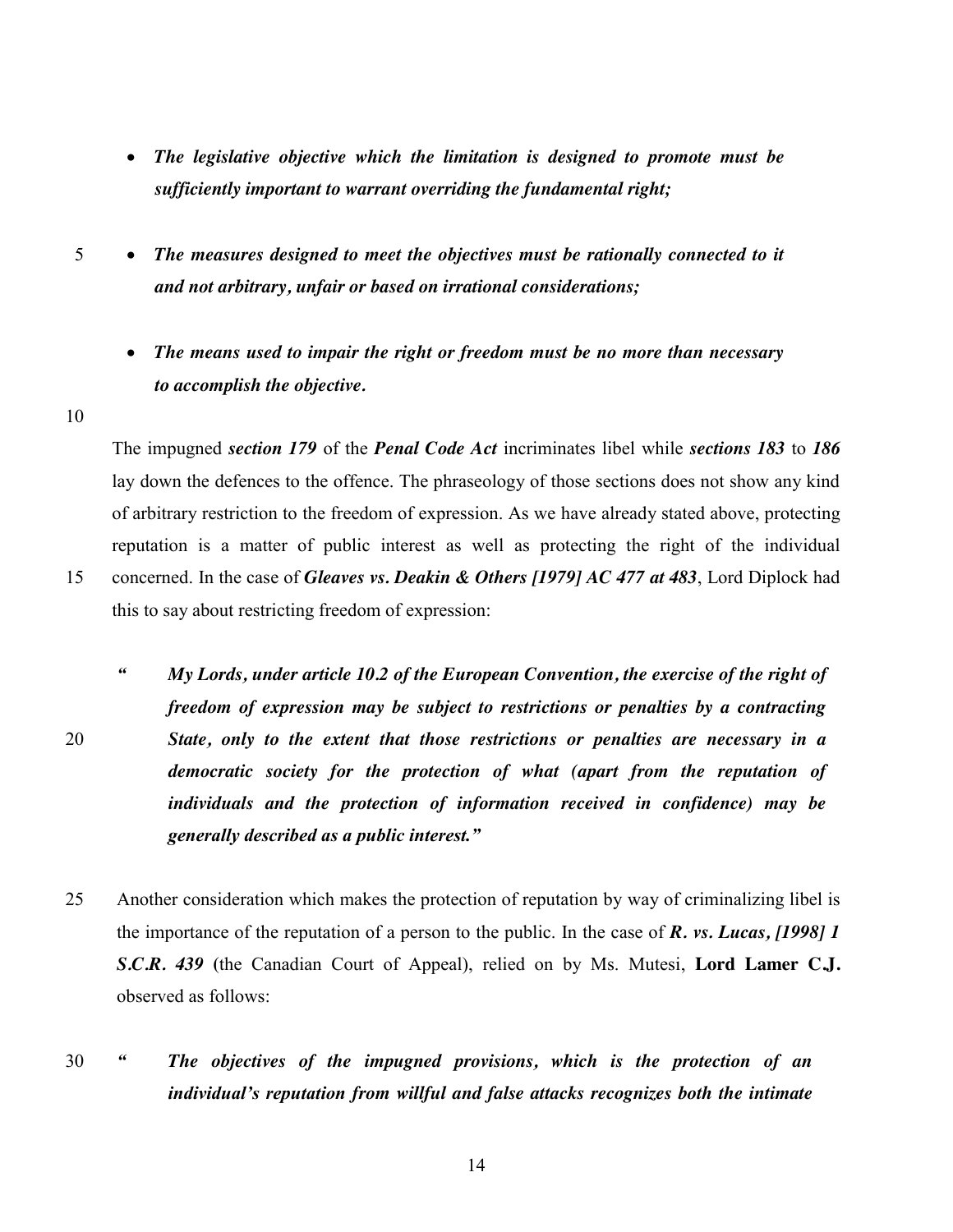- x *The legislative objective which the limitation is designed to promote must be sufficiently important to warrant overriding the fundamental right;*
- 5 x *The measures designed to meet the objectives must be rationally connected to it and not arbitrary, unfair or based on irrational considerations;*
	- x *The means used to impair the right or freedom must be no more than necessary to accomplish the objective.*

10

The impugned *section 179* of the *Penal Code Act* incriminates libel while *sections 183* to *186* lay down the defences to the offence. The phraseology of those sections does not show any kind of arbitrary restriction to the freedom of expression. As we have already stated above, protecting reputation is a matter of public interest as well as protecting the right of the individual 15 concerned. In the case of *Gleaves vs. Deakin & Others [1979] AC 477 at 483*, Lord Diplock had this to say about restricting freedom of expression:

- *" My Lords, under article 10.2 of the European Convention, the exercise of the right of freedom of expression may be subject to restrictions or penalties by a contracting*  20 *State, only to the extent that those restrictions or penalties are necessary in a democratic society for the protection of what (apart from the reputation of individuals and the protection of information received in confidence) may be generally described as a public interest."*
- 25 Another consideration which makes the protection of reputation by way of criminalizing libel is the importance of the reputation of a person to the public. In the case of *R. vs. Lucas, [1998] 1 S.C.R. 439* **(**the Canadian Court of Appeal), relied on by Ms. Mutesi, **Lord Lamer C.J.** observed as follows:
- 30 *" The objectives of the impugned provisions, which is the protection of an individual's reputation from willful and false attacks recognizes both the intimate*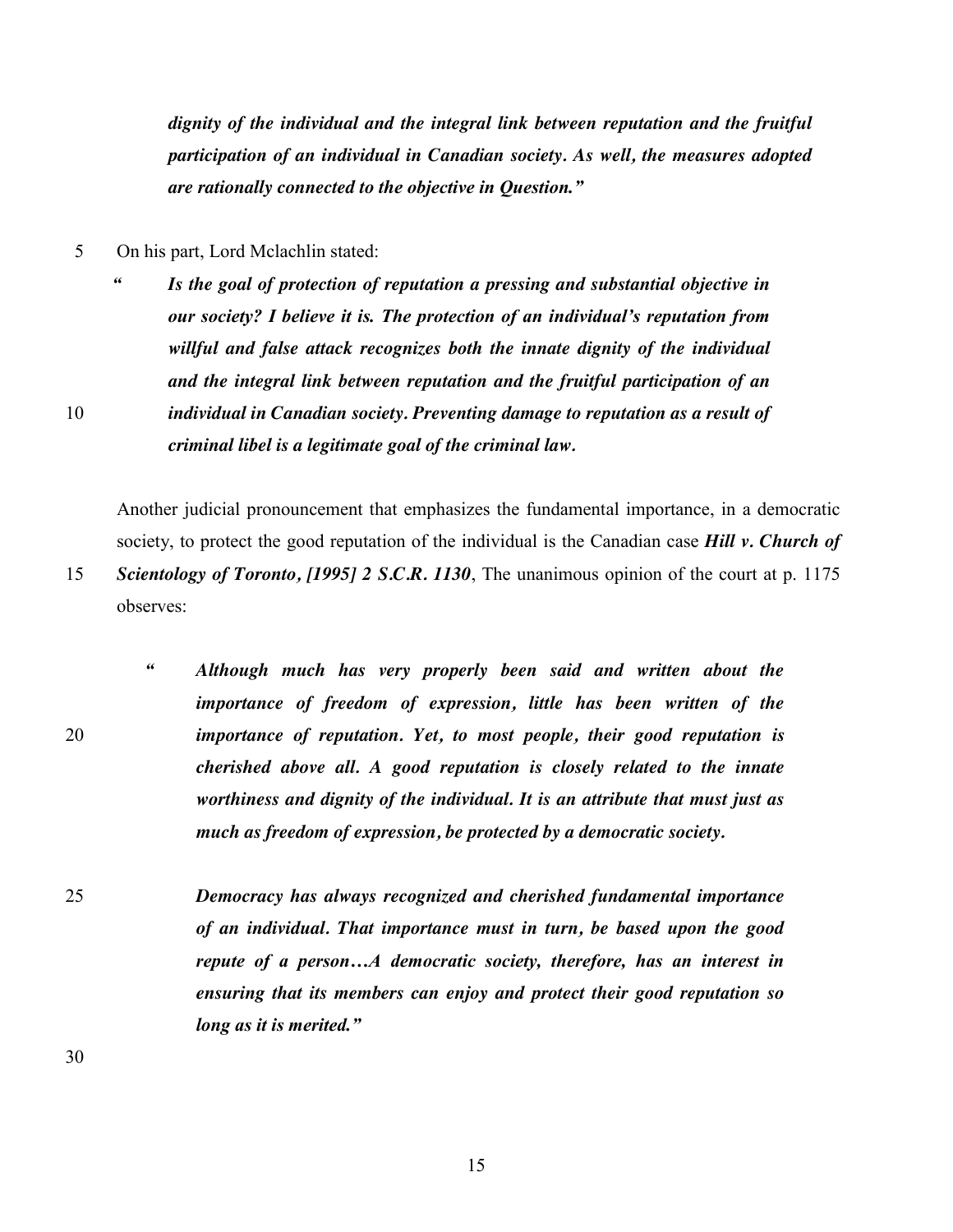*dignity of the individual and the integral link between reputation and the fruitful participation of an individual in Canadian society. As well, the measures adopted are rationally connected to the objective in Question."*

- 5 On his part, Lord Mclachlin stated:
- *" Is the goal of protection of reputation a pressing and substantial objective in our society? I believe it is. The protection of an individual's reputation from willful and false attack recognizes both the innate dignity of the individual and the integral link between reputation and the fruitful participation of an*  10 *individual in Canadian society. Preventing damage to reputation as a result of criminal libel is a legitimate goal of the criminal law.*

Another judicial pronouncement that emphasizes the fundamental importance, in a democratic society, to protect the good reputation of the individual is the Canadian case *Hill v. Church of*  15 *Scientology of Toronto, [1995] 2 S.C.R. 1130*, The unanimous opinion of the court at p. 1175 observes:

- *" Although much has very properly been said and written about the importance of freedom of expression, little has been written of the*  20 *importance of reputation. Yet, to most people, their good reputation is cherished above all. A good reputation is closely related to the innate worthiness and dignity of the individual. It is an attribute that must just as much as freedom of expression, be protected by a democratic society.*
- 25 *Democracy has always recognized and cherished fundamental importance of an individual. That importance must in turn, be based upon the good repute of a person…A democratic society, therefore, has an interest in ensuring that its members can enjoy and protect their good reputation so long as it is merited."*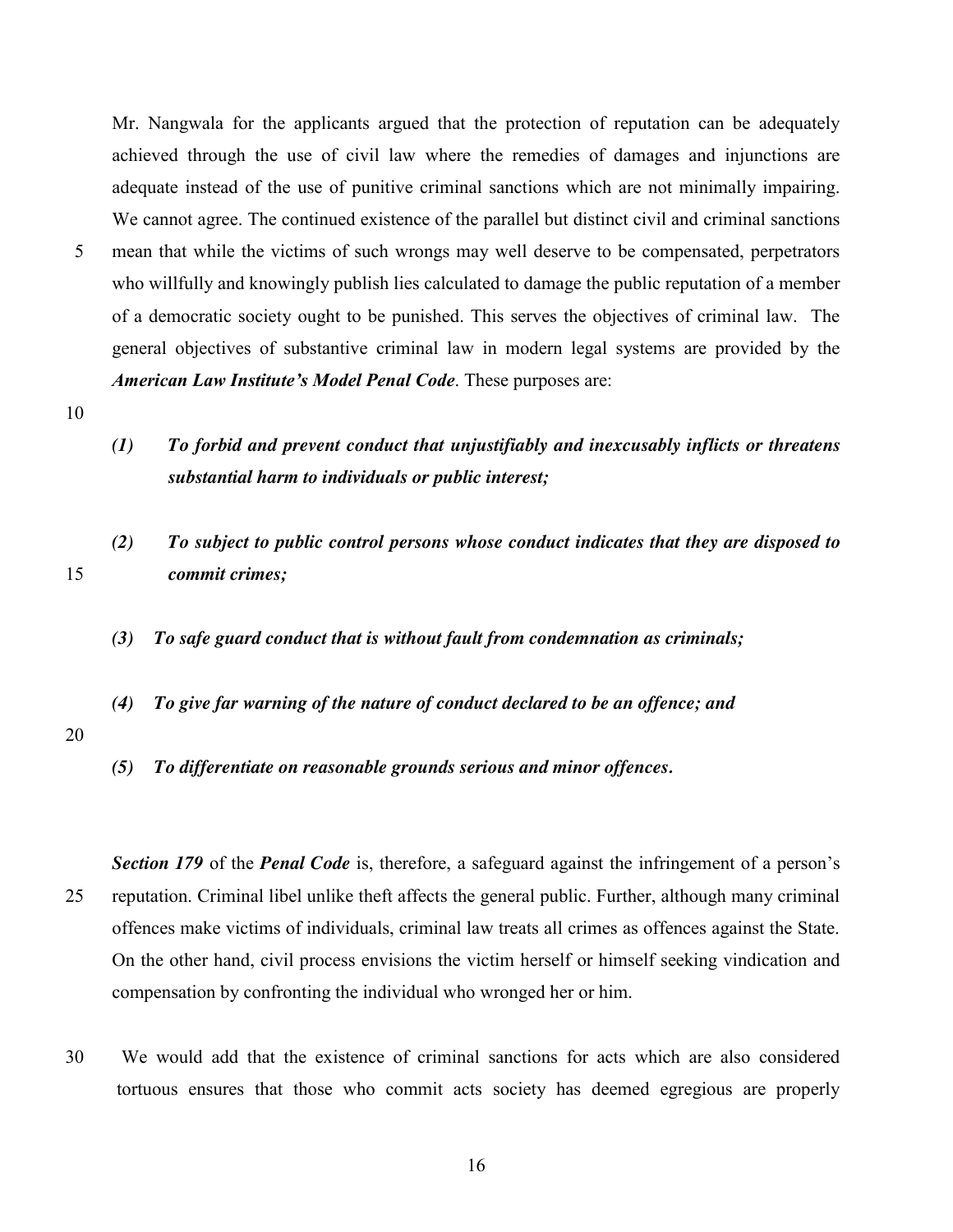Mr. Nangwala for the applicants argued that the protection of reputation can be adequately achieved through the use of civil law where the remedies of damages and injunctions are adequate instead of the use of punitive criminal sanctions which are not minimally impairing. We cannot agree. The continued existence of the parallel but distinct civil and criminal sanctions

- 5 mean that while the victims of such wrongs may well deserve to be compensated, perpetrators who willfully and knowingly publish lies calculated to damage the public reputation of a member of a democratic society ought to be punished. This serves the objectives of criminal law. The general objectives of substantive criminal law in modern legal systems are provided by the *American Law Institute's Model Penal Code*. These purposes are:
- 10
- *(1) To forbid and prevent conduct that unjustifiably and inexcusably inflicts or threatens substantial harm to individuals or public interest;*
- *(2) To subject to public control persons whose conduct indicates that they are disposed to*  15 *commit crimes;*
	- *(3) To safe guard conduct that is without fault from condemnation as criminals;*
	- *(4) To give far warning of the nature of conduct declared to be an offence; and*
- 20
- *(5) To differentiate on reasonable grounds serious and minor offences.*

*Section 179* of the *Penal Code* is, therefore, a safeguard against the infringement of a person's 25 reputation. Criminal libel unlike theft affects the general public. Further, although many criminal offences make victims of individuals, criminal law treats all crimes as offences against the State. On the other hand, civil process envisions the victim herself or himself seeking vindication and compensation by confronting the individual who wronged her or him.

- 30 We would add that the existence of criminal sanctions for acts which are also considered tortuous ensures that those who commit acts society has deemed egregious are properly
	- 16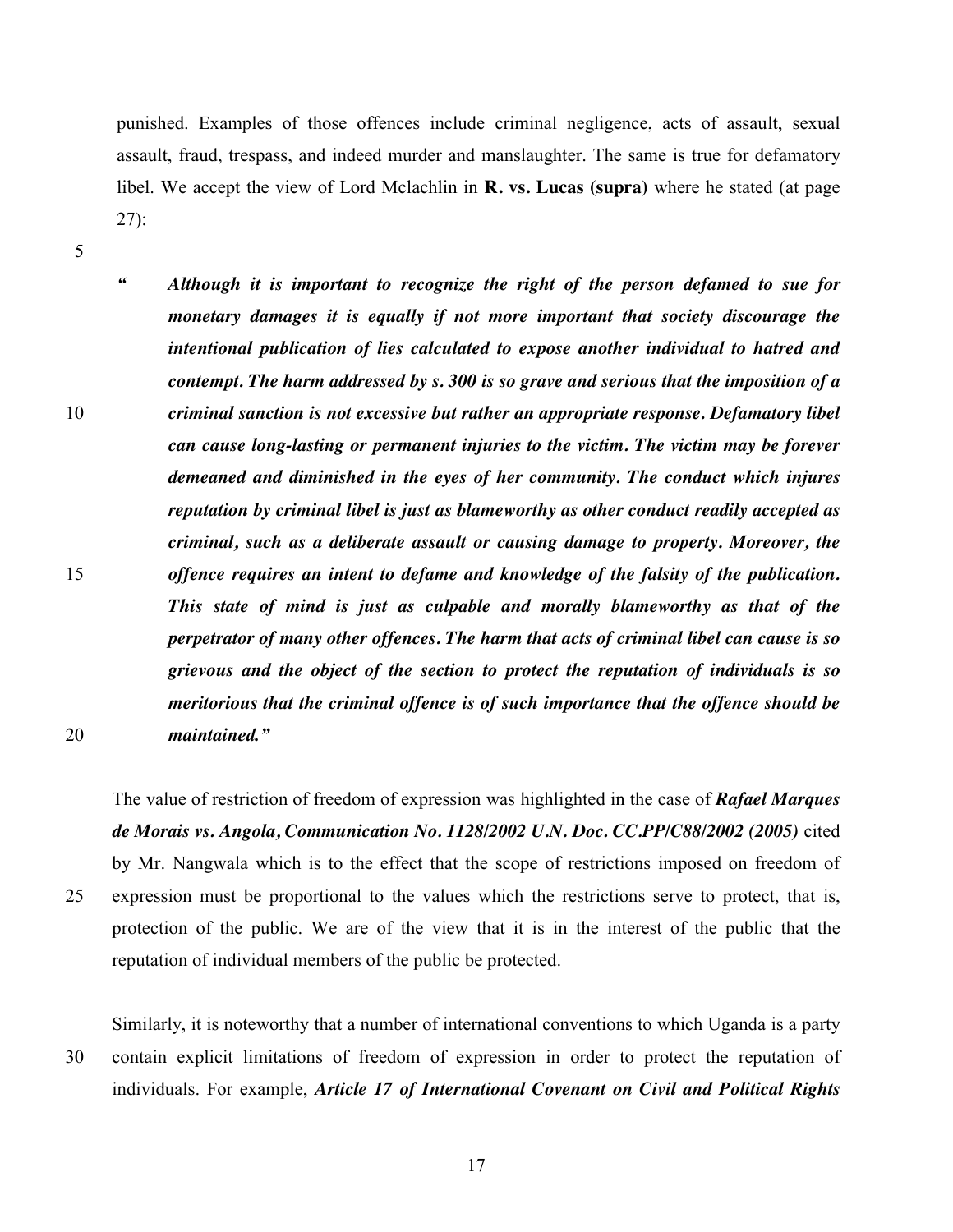punished. Examples of those offences include criminal negligence, acts of assault, sexual assault, fraud, trespass, and indeed murder and manslaughter. The same is true for defamatory libel. We accept the view of Lord Mclachlin in **R. vs. Lucas (supra)** where he stated (at page 27):

5

*" Although it is important to recognize the right of the person defamed to sue for monetary damages it is equally if not more important that society discourage the intentional publication of lies calculated to expose another individual to hatred and contempt. The harm addressed by s. 300 is so grave and serious that the imposition of a*  10 *criminal sanction is not excessive but rather an appropriate response. Defamatory libel can cause long-lasting or permanent injuries to the victim. The victim may be forever demeaned and diminished in the eyes of her community. The conduct which injures reputation by criminal libel is just as blameworthy as other conduct readily accepted as criminal, such as a deliberate assault or causing damage to property. Moreover, the*  15 *offence requires an intent to defame and knowledge of the falsity of the publication. This state of mind is just as culpable and morally blameworthy as that of the perpetrator of many other offences. The harm that acts of criminal libel can cause is so grievous and the object of the section to protect the reputation of individuals is so meritorious that the criminal offence is of such importance that the offence should be*  20 *maintained."* 

The value of restriction of freedom of expression was highlighted in the case of *Rafael Marques de Morais vs. Angola, Communication No. 1128/2002 U.N. Doc. CC.PP/C88/2002 (2005)* cited by Mr. Nangwala which is to the effect that the scope of restrictions imposed on freedom of 25 expression must be proportional to the values which the restrictions serve to protect, that is, protection of the public. We are of the view that it is in the interest of the public that the reputation of individual members of the public be protected.

Similarly, it is noteworthy that a number of international conventions to which Uganda is a party 30 contain explicit limitations of freedom of expression in order to protect the reputation of individuals. For example, *Article 17 of International Covenant on Civil and Political Rights*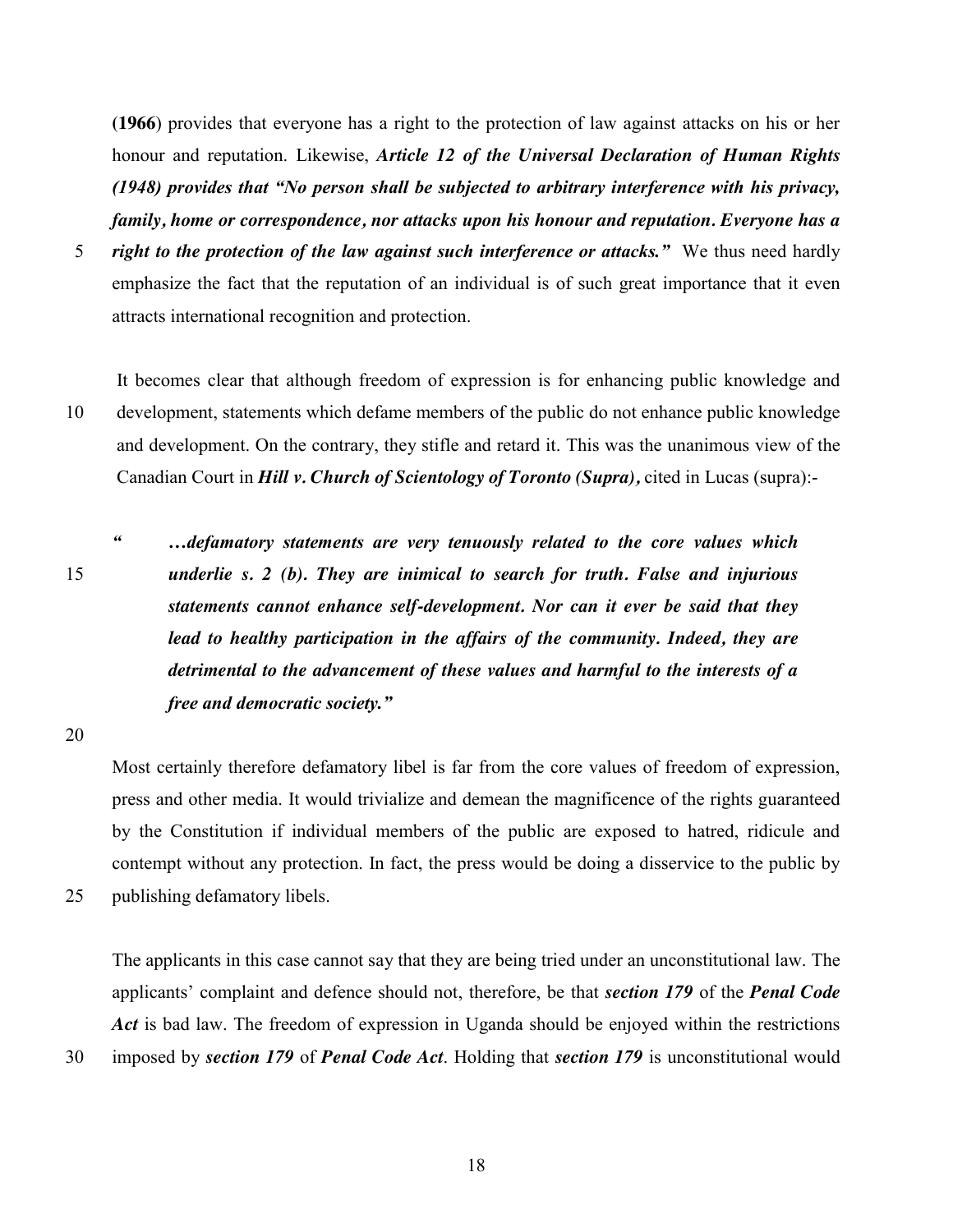**(1966**) provides that everyone has a right to the protection of law against attacks on his or her honour and reputation. Likewise, *Article 12 of the Universal Declaration of Human Rights (1948) provides that "No person shall be subjected to arbitrary interference with his privacy, family, home or correspondence, nor attacks upon his honour and reputation. Everyone has a* 

5 *right to the protection of the law against such interference or attacks."* We thus need hardly emphasize the fact that the reputation of an individual is of such great importance that it even attracts international recognition and protection.

It becomes clear that although freedom of expression is for enhancing public knowledge and 10 development, statements which defame members of the public do not enhance public knowledge and development. On the contrary, they stifle and retard it. This was the unanimous view of the Canadian Court in *Hill v. Church of Scientology of Toronto (Supra),* cited in Lucas (supra):-

*" …defamatory statements are very tenuously related to the core values which*  15 *underlie s. 2 (b). They are inimical to search for truth. False and injurious statements cannot enhance self-development. Nor can it ever be said that they lead to healthy participation in the affairs of the community. Indeed, they are detrimental to the advancement of these values and harmful to the interests of a free and democratic society."*

20

Most certainly therefore defamatory libel is far from the core values of freedom of expression, press and other media. It would trivialize and demean the magnificence of the rights guaranteed by the Constitution if individual members of the public are exposed to hatred, ridicule and contempt without any protection. In fact, the press would be doing a disservice to the public by 25 publishing defamatory libels.

The applicants in this case cannot say that they are being tried under an unconstitutional law. The applicants' complaint and defence should not, therefore, be that *section 179* of the *Penal Code*  Act is bad law. The freedom of expression in Uganda should be enjoyed within the restrictions

30 imposed by *section 179* of *Penal Code Act*. Holding that *section 179* is unconstitutional would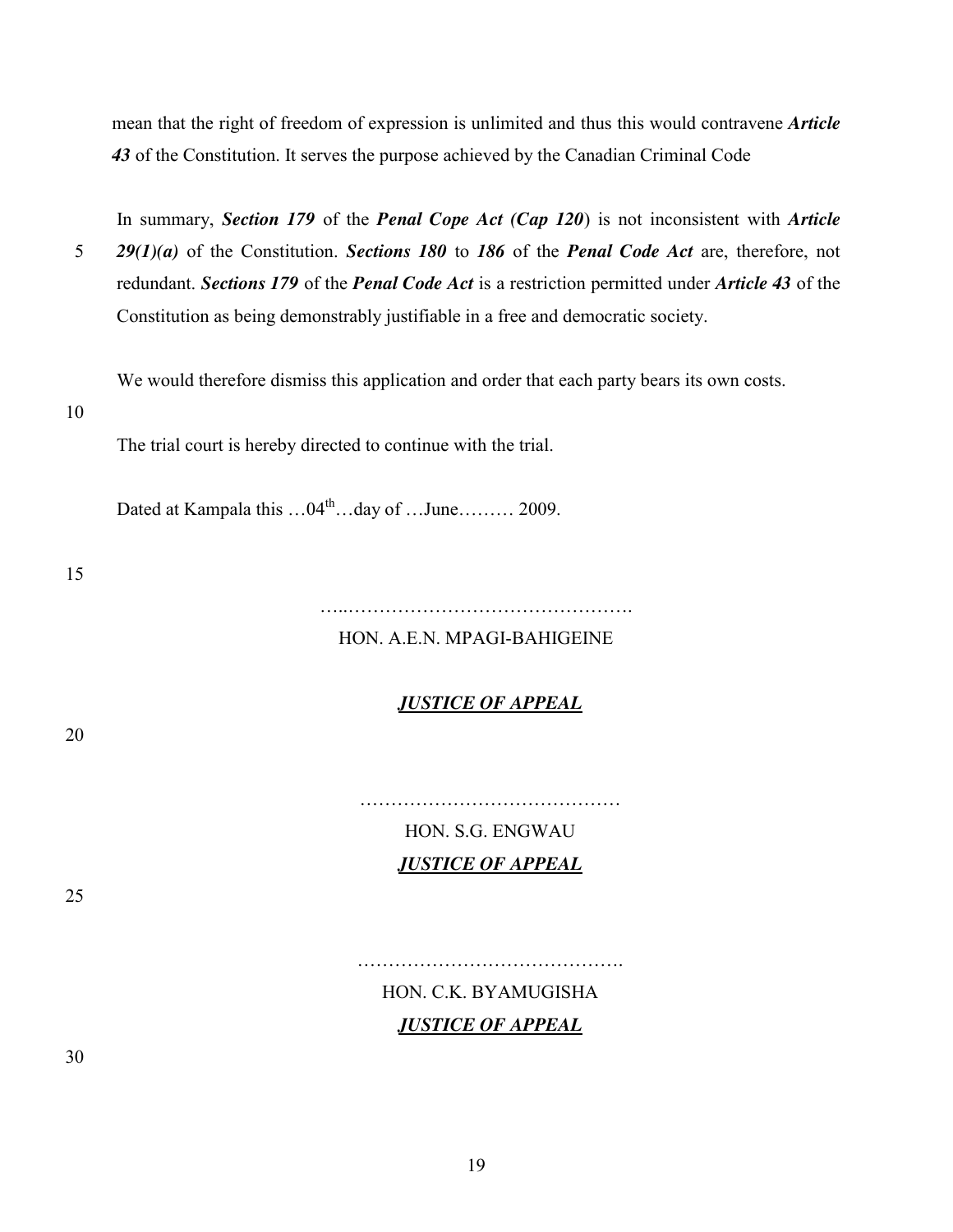mean that the right of freedom of expression is unlimited and thus this would contravene *Article 43* of the Constitution. It serves the purpose achieved by the Canadian Criminal Code

In summary, *Section 179* of the *Penal Cope Act (Cap 120*) is not inconsistent with *Article*  5 *29(1)(a)* of the Constitution. *Sections 180* to *186* of the *Penal Code Act* are, therefore, not redundant. *Sections 179* of the *Penal Code Act* is a restriction permitted under *Article 43* of the Constitution as being demonstrably justifiable in a free and democratic society.

We would therefore dismiss this application and order that each party bears its own costs.

10

The trial court is hereby directed to continue with the trial.

Dated at Kampala this  $...04^{\text{th}}...$  day of  $...$  June .......... 2009.

15

…..……………………………………….

#### HON. A.E.N. MPAGI-BAHIGEINE

### *JUSTICE OF APPEAL*

20

HON. S.G. ENGWAU *JUSTICE OF APPEAL*

25

# HON. C.K. BYAMUGISHA *JUSTICE OF APPEAL*

…………………………………….